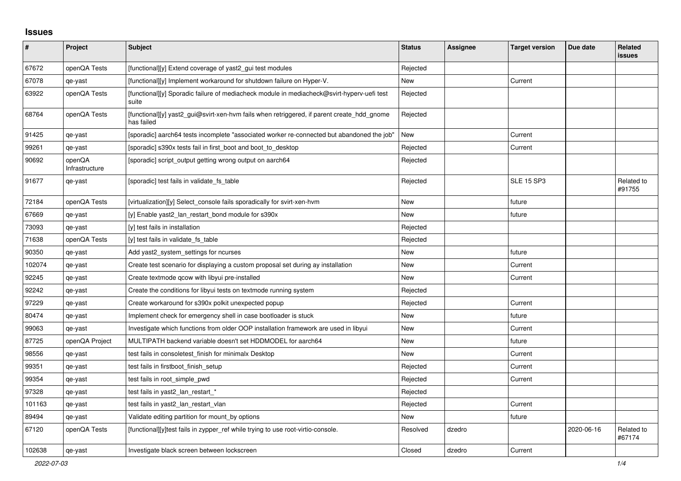## **Issues**

| #      | <b>Project</b>           | <b>Subject</b>                                                                                           | <b>Status</b> | <b>Assignee</b> | <b>Target version</b> | Due date   | Related<br><b>issues</b> |
|--------|--------------------------|----------------------------------------------------------------------------------------------------------|---------------|-----------------|-----------------------|------------|--------------------------|
| 67672  | openQA Tests             | [functional][y] Extend coverage of yast2_gui test modules                                                | Rejected      |                 |                       |            |                          |
| 67078  | qe-yast                  | [functional][y] Implement workaround for shutdown failure on Hyper-V.                                    | New           |                 | Current               |            |                          |
| 63922  | openQA Tests             | [functional][y] Sporadic failure of mediacheck module in mediacheck@svirt-hyperv-uefi test<br>suite      | Rejected      |                 |                       |            |                          |
| 68764  | openQA Tests             | [functional][y] yast2_gui@svirt-xen-hvm fails when retriggered, if parent create_hdd_gnome<br>has failed | Rejected      |                 |                       |            |                          |
| 91425  | qe-yast                  | [sporadic] aarch64 tests incomplete "associated worker re-connected but abandoned the job"               | <b>New</b>    |                 | Current               |            |                          |
| 99261  | qe-yast                  | [sporadic] s390x tests fail in first_boot and boot_to_desktop                                            | Rejected      |                 | Current               |            |                          |
| 90692  | openQA<br>Infrastructure | [sporadic] script_output getting wrong output on aarch64                                                 | Rejected      |                 |                       |            |                          |
| 91677  | qe-yast                  | [sporadic] test fails in validate_fs_table                                                               | Rejected      |                 | <b>SLE 15 SP3</b>     |            | Related to<br>#91755     |
| 72184  | openQA Tests             | [virtualization][y] Select_console fails sporadically for svirt-xen-hvm                                  | <b>New</b>    |                 | future                |            |                          |
| 67669  | qe-yast                  | [y] Enable yast2_lan_restart_bond module for s390x                                                       | <b>New</b>    |                 | future                |            |                          |
| 73093  | qe-yast                  | [y] test fails in installation                                                                           | Rejected      |                 |                       |            |                          |
| 71638  | openQA Tests             | [y] test fails in validate fs_table                                                                      | Rejected      |                 |                       |            |                          |
| 90350  | qe-yast                  | Add yast2_system_settings for ncurses                                                                    | New           |                 | future                |            |                          |
| 102074 | qe-yast                  | Create test scenario for displaying a custom proposal set during ay installation                         | New           |                 | Current               |            |                          |
| 92245  | qe-yast                  | Create textmode gcow with libyui pre-installed                                                           | New           |                 | Current               |            |                          |
| 92242  | qe-yast                  | Create the conditions for libyui tests on textmode running system                                        | Rejected      |                 |                       |            |                          |
| 97229  | qe-yast                  | Create workaround for s390x polkit unexpected popup                                                      | Rejected      |                 | Current               |            |                          |
| 80474  | qe-yast                  | Implement check for emergency shell in case bootloader is stuck                                          | <b>New</b>    |                 | future                |            |                          |
| 99063  | qe-yast                  | Investigate which functions from older OOP installation framework are used in libyui                     | <b>New</b>    |                 | Current               |            |                          |
| 87725  | openQA Project           | MULTIPATH backend variable doesn't set HDDMODEL for aarch64                                              | <b>New</b>    |                 | future                |            |                          |
| 98556  | qe-yast                  | test fails in consoletest finish for minimalx Desktop                                                    | New           |                 | Current               |            |                          |
| 99351  | qe-yast                  | test fails in firstboot finish setup                                                                     | Rejected      |                 | Current               |            |                          |
| 99354  | qe-yast                  | test fails in root simple pwd                                                                            | Rejected      |                 | Current               |            |                          |
| 97328  | qe-yast                  | test fails in yast2 Ian restart *                                                                        | Rejected      |                 |                       |            |                          |
| 101163 | qe-yast                  | test fails in yast2 lan restart vlan                                                                     | Rejected      |                 | Current               |            |                          |
| 89494  | qe-yast                  | Validate editing partition for mount by options                                                          | New           |                 | future                |            |                          |
| 67120  | openQA Tests             | [functional][y]test fails in zypper_ref while trying to use root-virtio-console.                         | Resolved      | dzedro          |                       | 2020-06-16 | Related to<br>#67174     |
| 102638 | qe-yast                  | Investigate black screen between lockscreen                                                              | Closed        | dzedro          | Current               |            |                          |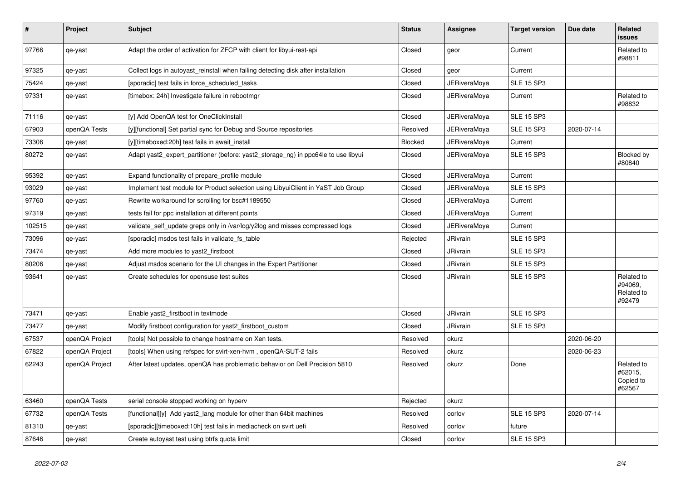| $\sharp$ | Project        | <b>Subject</b>                                                                     | <b>Status</b> | Assignee            | <b>Target version</b> | Due date   | <b>Related</b><br><b>issues</b>               |
|----------|----------------|------------------------------------------------------------------------------------|---------------|---------------------|-----------------------|------------|-----------------------------------------------|
| 97766    | qe-yast        | Adapt the order of activation for ZFCP with client for libyui-rest-api             | Closed        | geor                | Current               |            | Related to<br>#98811                          |
| 97325    | qe-yast        | Collect logs in autoyast reinstall when failing detecting disk after installation  | Closed        | geor                | Current               |            |                                               |
| 75424    | qe-yast        | [sporadic] test fails in force_scheduled_tasks                                     | Closed        | <b>JERiveraMoya</b> | <b>SLE 15 SP3</b>     |            |                                               |
| 97331    | qe-yast        | [timebox: 24h] Investigate failure in rebootmgr                                    | Closed        | JERiveraMoya        | Current               |            | Related to<br>#98832                          |
| 71116    | qe-yast        | [y] Add OpenQA test for OneClickInstall                                            | Closed        | JERiveraMoya        | <b>SLE 15 SP3</b>     |            |                                               |
| 67903    | openQA Tests   | [y][functional] Set partial sync for Debug and Source repositories                 | Resolved      | <b>JERiveraMoya</b> | <b>SLE 15 SP3</b>     | 2020-07-14 |                                               |
| 73306    | qe-yast        | [y][timeboxed:20h] test fails in await install                                     | Blocked       | JERiveraMoya        | Current               |            |                                               |
| 80272    | qe-yast        | Adapt yast2_expert_partitioner (before: yast2_storage_ng) in ppc64le to use libyui | Closed        | JERiveraMoya        | <b>SLE 15 SP3</b>     |            | Blocked by<br>#80840                          |
| 95392    | qe-yast        | Expand functionality of prepare_profile module                                     | Closed        | <b>JERiveraMoya</b> | Current               |            |                                               |
| 93029    | qe-yast        | Implement test module for Product selection using LibyuiClient in YaST Job Group   | Closed        | JERiveraMoya        | <b>SLE 15 SP3</b>     |            |                                               |
| 97760    | qe-yast        | Rewrite workaround for scrolling for bsc#1189550                                   | Closed        | <b>JERiveraMoya</b> | Current               |            |                                               |
| 97319    | qe-yast        | tests fail for ppc installation at different points                                | Closed        | <b>JERiveraMova</b> | Current               |            |                                               |
| 102515   | qe-yast        | validate_self_update greps only in /var/log/y2log and misses compressed logs       | Closed        | <b>JERiveraMoya</b> | Current               |            |                                               |
| 73096    | qe-yast        | [sporadic] msdos test fails in validate fs table                                   | Rejected      | JRivrain            | <b>SLE 15 SP3</b>     |            |                                               |
| 73474    | qe-yast        | Add more modules to yast2 firstboot                                                | Closed        | JRivrain            | <b>SLE 15 SP3</b>     |            |                                               |
| 80206    | qe-yast        | Adjust msdos scenario for the UI changes in the Expert Partitioner                 | Closed        | <b>JRivrain</b>     | <b>SLE 15 SP3</b>     |            |                                               |
| 93641    | qe-yast        | Create schedules for opensuse test suites                                          | Closed        | <b>JRivrain</b>     | <b>SLE 15 SP3</b>     |            | Related to<br>#94069,<br>Related to<br>#92479 |
| 73471    | qe-yast        | Enable yast2 firstboot in textmode                                                 | Closed        | <b>JRivrain</b>     | <b>SLE 15 SP3</b>     |            |                                               |
| 73477    | qe-yast        | Modify firstboot configuration for yast2 firstboot custom                          | Closed        | JRivrain            | <b>SLE 15 SP3</b>     |            |                                               |
| 67537    | openQA Project | [tools] Not possible to change hostname on Xen tests.                              | Resolved      | okurz               |                       | 2020-06-20 |                                               |
| 67822    | openQA Project | [tools] When using refspec for svirt-xen-hvm, openQA-SUT-2 fails                   | Resolved      | okurz               |                       | 2020-06-23 |                                               |
| 62243    | openQA Project | After latest updates, openQA has problematic behavior on Dell Precision 5810       | Resolved      | okurz               | Done                  |            | Related to<br>#62015,<br>Copied to<br>#62567  |
| 63460    | openQA Tests   | serial console stopped working on hyperv                                           | Rejected      | okurz               |                       |            |                                               |
| 67732    | openQA Tests   | [functional][y] Add yast2_lang module for other than 64bit machines                | Resolved      | oorlov              | <b>SLE 15 SP3</b>     | 2020-07-14 |                                               |
| 81310    | qe-yast        | [sporadic][timeboxed:10h] test fails in mediacheck on svirt uefi                   | Resolved      | oorlov              | future                |            |                                               |
| 87646    | qe-yast        | Create autoyast test using btrfs quota limit                                       | Closed        | oorlov              | <b>SLE 15 SP3</b>     |            |                                               |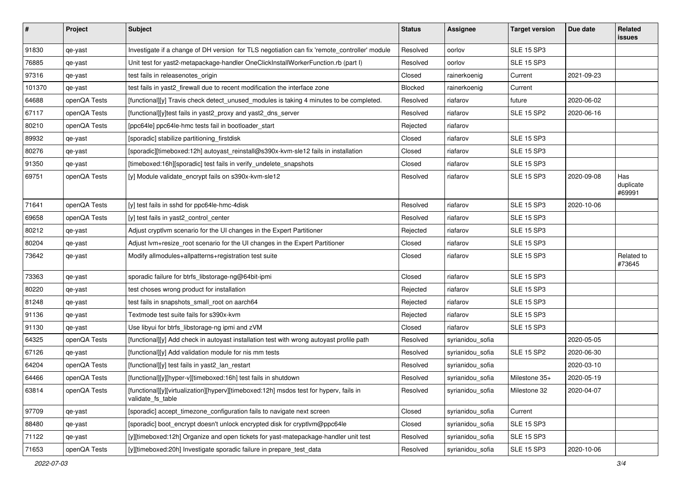| $\#$   | Project      | Subject                                                                                                     | <b>Status</b> | <b>Assignee</b>  | <b>Target version</b> | Due date   | Related<br>issues          |
|--------|--------------|-------------------------------------------------------------------------------------------------------------|---------------|------------------|-----------------------|------------|----------------------------|
| 91830  | qe-yast      | Investigate if a change of DH version for TLS negotiation can fix 'remote_controller' module                | Resolved      | oorlov           | <b>SLE 15 SP3</b>     |            |                            |
| 76885  | qe-yast      | Unit test for yast2-metapackage-handler OneClickInstallWorkerFunction.rb (part I)                           | Resolved      | oorlov           | <b>SLE 15 SP3</b>     |            |                            |
| 97316  | qe-yast      | test fails in releasenotes origin                                                                           | Closed        | rainerkoenig     | Current               | 2021-09-23 |                            |
| 101370 | qe-yast      | test fails in yast2_firewall due to recent modification the interface zone                                  | Blocked       | rainerkoenig     | Current               |            |                            |
| 64688  | openQA Tests | [functional][y] Travis check detect_unused_modules is taking 4 minutes to be completed.                     | Resolved      | riafarov         | future                | 2020-06-02 |                            |
| 67117  | openQA Tests | [functional][y]test fails in yast2_proxy and yast2_dns_server                                               | Resolved      | riafarov         | <b>SLE 15 SP2</b>     | 2020-06-16 |                            |
| 80210  | openQA Tests | [ppc64le] ppc64le-hmc tests fail in bootloader start                                                        | Rejected      | riafarov         |                       |            |                            |
| 89932  | qe-yast      | [sporadic] stabilize partitioning_firstdisk                                                                 | Closed        | riafarov         | <b>SLE 15 SP3</b>     |            |                            |
| 80276  | qe-yast      | [sporadic][timeboxed:12h] autoyast_reinstall@s390x-kvm-sle12 fails in installation                          | Closed        | riafarov         | <b>SLE 15 SP3</b>     |            |                            |
| 91350  | qe-yast      | [timeboxed:16h][sporadic] test fails in verify_undelete_snapshots                                           | Closed        | riafarov         | <b>SLE 15 SP3</b>     |            |                            |
| 69751  | openQA Tests | [y] Module validate_encrypt fails on s390x-kvm-sle12                                                        | Resolved      | riafarov         | <b>SLE 15 SP3</b>     | 2020-09-08 | Has<br>duplicate<br>#69991 |
| 71641  | openQA Tests | [y] test fails in sshd for ppc64le-hmc-4disk                                                                | Resolved      | riafarov         | <b>SLE 15 SP3</b>     | 2020-10-06 |                            |
| 69658  | openQA Tests | [y] test fails in yast2_control_center                                                                      | Resolved      | riafarov         | <b>SLE 15 SP3</b>     |            |                            |
| 80212  | qe-yast      | Adjust cryptlym scenario for the UI changes in the Expert Partitioner                                       | Rejected      | riafarov         | <b>SLE 15 SP3</b>     |            |                            |
| 80204  | qe-yast      | Adjust lvm+resize_root scenario for the UI changes in the Expert Partitioner                                | Closed        | riafarov         | <b>SLE 15 SP3</b>     |            |                            |
| 73642  | qe-yast      | Modify allmodules+allpatterns+registration test suite                                                       | Closed        | riafarov         | <b>SLE 15 SP3</b>     |            | Related to<br>#73645       |
| 73363  | qe-yast      | sporadic failure for btrfs_libstorage-ng@64bit-ipmi                                                         | Closed        | riafarov         | <b>SLE 15 SP3</b>     |            |                            |
| 80220  | qe-yast      | test choses wrong product for installation                                                                  | Rejected      | riafarov         | <b>SLE 15 SP3</b>     |            |                            |
| 81248  | qe-yast      | test fails in snapshots_small_root on aarch64                                                               | Rejected      | riafarov         | <b>SLE 15 SP3</b>     |            |                            |
| 91136  | qe-yast      | Textmode test suite fails for s390x-kvm                                                                     | Rejected      | riafarov         | <b>SLE 15 SP3</b>     |            |                            |
| 91130  | qe-yast      | Use libyui for btrfs libstorage-ng ipmi and zVM                                                             | Closed        | riafarov         | <b>SLE 15 SP3</b>     |            |                            |
| 64325  | openQA Tests | [functional][y] Add check in autoyast installation test with wrong autoyast profile path                    | Resolved      | syrianidou_sofia |                       | 2020-05-05 |                            |
| 67126  | qe-yast      | [functional][y] Add validation module for nis mm tests                                                      | Resolved      | syrianidou_sofia | <b>SLE 15 SP2</b>     | 2020-06-30 |                            |
| 64204  | openQA Tests | [functional][y] test fails in yast2_lan_restart                                                             | Resolved      | syrianidou_sofia |                       | 2020-03-10 |                            |
| 64466  | openQA Tests | [functional][y][hyper-v][timeboxed:16h] test fails in shutdown                                              | Resolved      | syrianidou_sofia | Milestone 35+         | 2020-05-19 |                            |
| 63814  | openQA Tests | [functional][y][virtualization][hyperv][timeboxed:12h] msdos test for hyperv, fails in<br>validate fs table | Resolved      | syrianidou_sofia | Milestone 32          | 2020-04-07 |                            |
| 97709  | qe-yast      | [sporadic] accept_timezone_configuration fails to navigate next screen                                      | Closed        | syrianidou_sofia | Current               |            |                            |
| 88480  | qe-yast      | [sporadic] boot encrypt doesn't unlock encrypted disk for cryptlym@ppc64le                                  | Closed        | syrianidou_sofia | <b>SLE 15 SP3</b>     |            |                            |
| 71122  | qe-yast      | [y][timeboxed:12h] Organize and open tickets for yast-matepackage-handler unit test                         | Resolved      | syrianidou_sofia | <b>SLE 15 SP3</b>     |            |                            |
| 71653  | openQA Tests | [y][timeboxed:20h] Investigate sporadic failure in prepare_test_data                                        | Resolved      | syrianidou_sofia | <b>SLE 15 SP3</b>     | 2020-10-06 |                            |